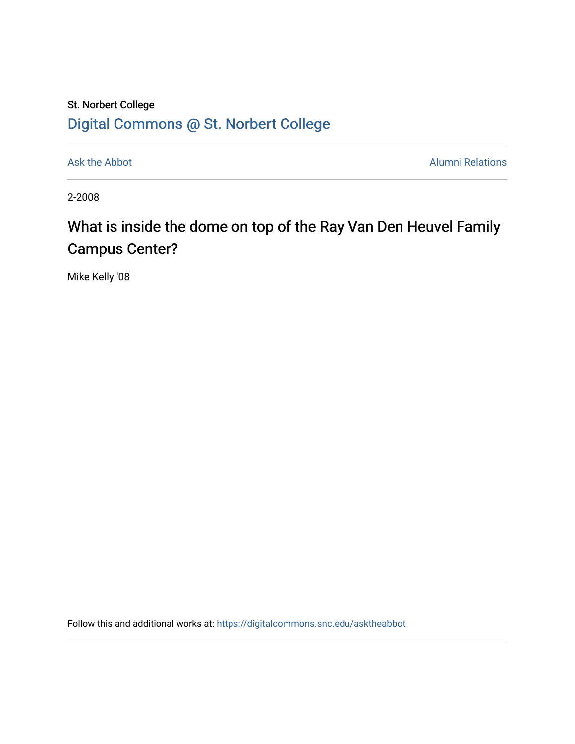## St. Norbert College [Digital Commons @ St. Norbert College](https://digitalcommons.snc.edu/)

[Ask the Abbot](https://digitalcommons.snc.edu/asktheabbot) **Alumni Relations** Alumni Relations

2-2008

## What is inside the dome on top of the Ray Van Den Heuvel Family Campus Center?

Mike Kelly '08

Follow this and additional works at: [https://digitalcommons.snc.edu/asktheabbot](https://digitalcommons.snc.edu/asktheabbot?utm_source=digitalcommons.snc.edu%2Fasktheabbot%2F18&utm_medium=PDF&utm_campaign=PDFCoverPages)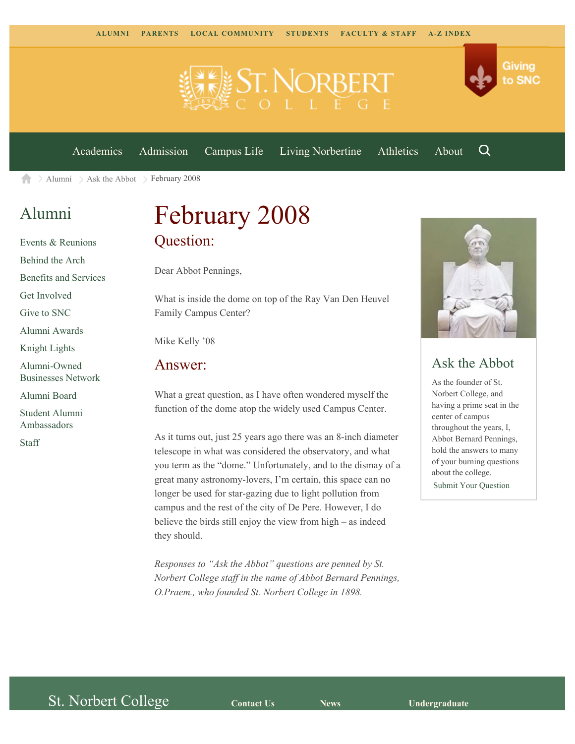



[Academics](https://www.snc.edu/academics) [Admission](https://www.snc.edu/admission) [Campus Life](https://www.snc.edu/campuslife) [Living Norbertine](https://www.snc.edu/livingnorbertine) [Athletics](https://www.snc.edu/athletics) [About](https://www.snc.edu/about)

Q

 $\geq$  [Alumni](https://www.snc.edu/alumni/)  $\geq$  [Ask the Abbot](https://www.snc.edu/alumni/abbot/)  $\geq$  February 2008 A

### [Alumni](https://www.snc.edu/alumni/index.html)

[Events & Reunions](https://www.snc.edu/alumni/event/index.html) [Behind the Arch](https://www.snc.edu/alumni/event/behindthearch/) [Benefits and Services](https://www.snc.edu/alumni/benefits.html) [Get Involved](https://www.snc.edu/alumni/getinvolved.html) [Give to SNC](http://giving.snc.edu/) [Alumni Awards](https://www.snc.edu/alumni/awards/index.html) [Knight Lights](https://www.snc.edu/alumni/knightlights/index.html) [Alumni-Owned](https://www.snc.edu/alumni/directory/index.html) [Businesses Network](https://www.snc.edu/alumni/directory/index.html) [Alumni Board](https://www.snc.edu/alumni/alumniboard.html) [Student Alumni](https://www.snc.edu/alumni/saa.html) [Ambassadors](https://www.snc.edu/alumni/saa.html) [Staff](https://www.snc.edu/alumni/contactus.html)

# February 2008 Question:

Dear Abbot Pennings,

What is inside the dome on top of the Ray Van Den Heuvel Family Campus Center?

Mike Kelly '08

#### Answer:

What a great question, as I have often wondered myself the function of the dome atop the widely used Campus Center.

As it turns out, just 25 years ago there was an 8-inch diameter telescope in what was considered the observatory, and what you term as the "dome." Unfortunately, and to the dismay of a great many astronomy-lovers, I'm certain, this space can no longer be used for star-gazing due to light pollution from campus and the rest of the city of De Pere. However, I do believe the birds still enjoy the view from high – as indeed they should.

*Responses to "Ask the Abbot" questions are penned by St. Norbert College staff in the name of Abbot Bernard Pennings, O.Praem., who founded St. Norbert College in 1898.*



#### Ask the Abbot

As the founder of St. Norbert College, and having a prime seat in the center of campus throughout the years, I, Abbot Bernard Pennings, hold the answers to many of your burning questions about the college. [Submit Your Question](https://www.snc.edu/alumni/abbot/index.html)

St. Norbert College **[Contact Us](http://www.snc.edu/about/contactus.html) [News](http://www.snc.edu/news/) [Undergraduate](http://www.snc.edu/academics/programsanddegrees.html)**